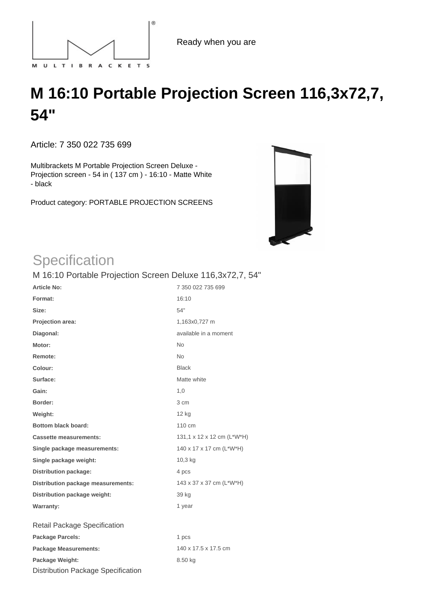

## **M 16:10 Portable Projection Screen 116,3x72,7, 54"**

Article: 7 350 022 735 699

Multibrackets M Portable Projection Screen Deluxe - Projection screen - 54 in ( 137 cm ) - 16:10 - Matte White - black

Product category: PORTABLE PROJECTION SCREENS



## **Specification**

| <b>Article No:</b>                        | 7 350 022 735 699          |
|-------------------------------------------|----------------------------|
| Format:                                   | 16:10                      |
| Size:                                     | 54"                        |
| Projection area:                          | 1,163x0,727 m              |
| Diagonal:                                 | available in a moment      |
| Motor:                                    | <b>No</b>                  |
| Remote:                                   | <b>No</b>                  |
| Colour:                                   | <b>Black</b>               |
| Surface:                                  | Matte white                |
| Gain:                                     | 1,0                        |
| Border:                                   | 3 cm                       |
| Weight:                                   | 12 kg                      |
| <b>Bottom black board:</b>                | 110 cm                     |
| <b>Cassette measurements:</b>             | 131,1 x 12 x 12 cm (L*W*H) |
| Single package measurements:              | 140 x 17 x 17 cm (L*W*H)   |
| Single package weight:                    | 10,3 kg                    |
| <b>Distribution package:</b>              | 4 pcs                      |
| Distribution package measurements:        | 143 x 37 x 37 cm (L*W*H)   |
| Distribution package weight:              | 39 kg                      |
| <b>Warranty:</b>                          | 1 year                     |
| Retail Package Specification              |                            |
| <b>Package Parcels:</b>                   | 1 pcs                      |
| <b>Package Measurements:</b>              | 140 x 17.5 x 17.5 cm       |
| Package Weight:                           | 8.50 kg                    |
| <b>Distribution Package Specification</b> |                            |

M 16:10 Portable Projection Screen Deluxe 116,3x72,7, 54"